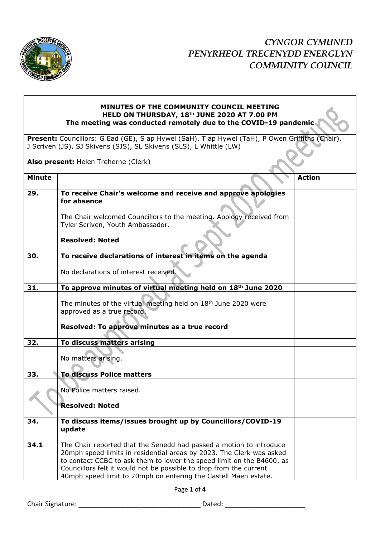

## **MINUTES OF THE COMMUNITY COUNCIL MEETING HELD ON THURSDAY, 18th JUNE 2020 AT 7.00 PM The meeting was conducted remotely due to the COVID-19 pandemic**

**Present:** Councillors: G Ead (GE), S ap Hywel (SaH), T ap Hywel (TaH), P Owen Griffiths (Chair), J Scriven (JS), SJ Skivens (SJS), SL Skivens (SLS), L Whittle (LW)

**Also present:** Helen Treherne (Clerk)

| <b>Minute</b> |                                                                                                                                                                                                                                                                                            | <b>Action</b> |
|---------------|--------------------------------------------------------------------------------------------------------------------------------------------------------------------------------------------------------------------------------------------------------------------------------------------|---------------|
| 29.           | To receive Chair's welcome and receive and approve apologies<br>for absence                                                                                                                                                                                                                |               |
|               | The Chair welcomed Councillors to the meeting. Apology received from<br>Tyler Scriven, Youth Ambassador.                                                                                                                                                                                   |               |
|               | <b>Resolved: Noted</b>                                                                                                                                                                                                                                                                     |               |
| 30.           | To receive declarations of interest in items on the agenda                                                                                                                                                                                                                                 |               |
|               | No declarations of interest received.                                                                                                                                                                                                                                                      |               |
| 31.           | To approve minutes of virtual meeting held on 18th June 2020                                                                                                                                                                                                                               |               |
|               | The minutes of the virtual meeting held on 18 <sup>th</sup> June 2020 were<br>approved as a true record.                                                                                                                                                                                   |               |
|               | Resolved: To approve minutes as a true record                                                                                                                                                                                                                                              |               |
| 32.           | To discuss matters arising                                                                                                                                                                                                                                                                 |               |
|               | No matters arising.                                                                                                                                                                                                                                                                        |               |
| 33.           | <b>To discuss Police matters</b>                                                                                                                                                                                                                                                           |               |
|               | No Police matters raised.<br><b>Resolved: Noted</b>                                                                                                                                                                                                                                        |               |
| 34.           | To discuss items/issues brought up by Councillors/COVID-19                                                                                                                                                                                                                                 |               |
|               | update                                                                                                                                                                                                                                                                                     |               |
| 34.1          | The Chair reported that the Senedd had passed a motion to introduce<br>20mph speed limits in residential areas by 2023. The Clerk was asked<br>to contact CCBC to ask them to lower the speed limit on the B4600, as<br>Councillors felt it would not be possible to drop from the current |               |
|               | 40mph speed limit to 20mph on entering the Castell Maen estate.                                                                                                                                                                                                                            |               |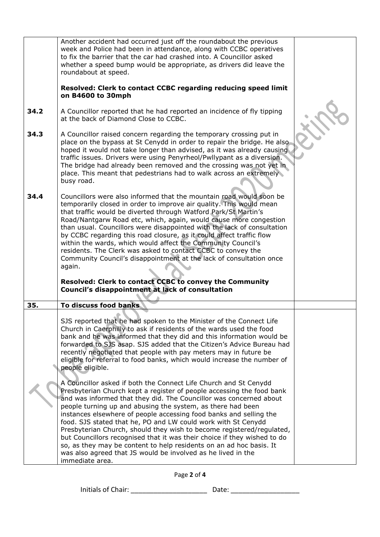|      | Another accident had occurred just off the roundabout the previous<br>week and Police had been in attendance, along with CCBC operatives<br>to fix the barrier that the car had crashed into. A Councillor asked<br>whether a speed bump would be appropriate, as drivers did leave the<br>roundabout at speed.<br>Resolved: Clerk to contact CCBC regarding reducing speed limit<br>on B4600 to 30mph                                                                                                                                                                                                                                                                                                                                                                                                                                                                                                                                                                                                                                                                                                                                                                                                 |  |
|------|--------------------------------------------------------------------------------------------------------------------------------------------------------------------------------------------------------------------------------------------------------------------------------------------------------------------------------------------------------------------------------------------------------------------------------------------------------------------------------------------------------------------------------------------------------------------------------------------------------------------------------------------------------------------------------------------------------------------------------------------------------------------------------------------------------------------------------------------------------------------------------------------------------------------------------------------------------------------------------------------------------------------------------------------------------------------------------------------------------------------------------------------------------------------------------------------------------|--|
| 34.2 | A Councillor reported that he had reported an incidence of fly tipping<br>at the back of Diamond Close to CCBC.                                                                                                                                                                                                                                                                                                                                                                                                                                                                                                                                                                                                                                                                                                                                                                                                                                                                                                                                                                                                                                                                                        |  |
| 34.3 | A Councillor raised concern regarding the temporary crossing put in<br>place on the bypass at St Cenydd in order to repair the bridge. He also<br>hoped it would not take longer than advised, as it was already causing<br>traffic issues. Drivers were using Penyrheol/Pwllypant as a diversion.<br>The bridge had already been removed and the crossing was not yet in<br>place. This meant that pedestrians had to walk across an extremely<br>busy road.                                                                                                                                                                                                                                                                                                                                                                                                                                                                                                                                                                                                                                                                                                                                          |  |
| 34.4 | Councillors were also informed that the mountain road would soon be<br>temporarily closed in order to improve air quality. This would mean<br>that traffic would be diverted through Watford Park/St Martin's<br>Road/Nantgarw Road etc, which, again, would cause more congestion<br>than usual. Councillors were disappointed with the lack of consultation<br>by CCBC regarding this road closure, as it could affect traffic flow<br>within the wards, which would affect the Community Council's<br>residents. The Clerk was asked to contact CCBC to convey the<br>Community Council's disappointment at the lack of consultation once<br>again.<br>Resolved: Clerk to contact CCBC to convey the Community<br>Council's disappointment at lack of consultation                                                                                                                                                                                                                                                                                                                                                                                                                                  |  |
| 35.  | To discuss food banks                                                                                                                                                                                                                                                                                                                                                                                                                                                                                                                                                                                                                                                                                                                                                                                                                                                                                                                                                                                                                                                                                                                                                                                  |  |
|      | SJS reported that he had spoken to the Minister of the Connect Life<br>Church in Caerphilly to ask if residents of the wards used the food<br>bank and he was informed that they did and this information would be<br>forwarded to SJS asap. SJS added that the Citizen's Advice Bureau had<br>recently negotiated that people with pay meters may in future be<br>eligible for referral to food banks, which would increase the number of<br>people eligible.<br>A Councillor asked if both the Connect Life Church and St Cenydd<br>Presbyterian Church kept a register of people accessing the food bank<br>and was informed that they did. The Councillor was concerned about<br>people turning up and abusing the system, as there had been<br>instances elsewhere of people accessing food banks and selling the<br>food. SJS stated that he, PO and LW could work with St Cenydd<br>Presbyterian Church, should they wish to become registered/regulated,<br>but Councillors recognised that it was their choice if they wished to do<br>so, as they may be content to help residents on an ad hoc basis. It<br>was also agreed that JS would be involved as he lived in the<br>immediate area. |  |

Page **2** of **4**

Initials of Chair: \_\_\_\_\_\_\_\_\_\_\_\_\_\_\_\_\_\_\_\_ Date: \_\_\_\_\_\_\_\_\_\_\_\_\_\_\_\_\_\_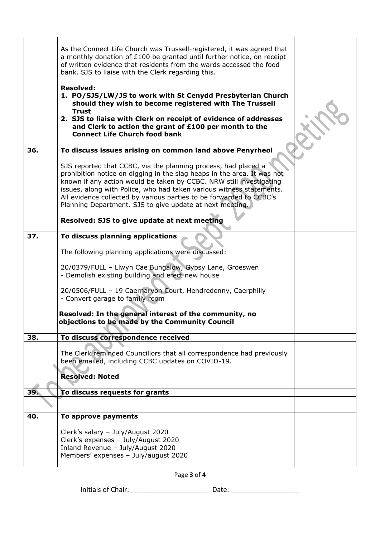|     | As the Connect Life Church was Trussell-registered, it was agreed that<br>a monthly donation of £100 be granted until further notice, on receipt<br>of written evidence that residents from the wards accessed the food<br>bank. SJS to liaise with the Clerk regarding this.                                                                                                                                               |  |
|-----|-----------------------------------------------------------------------------------------------------------------------------------------------------------------------------------------------------------------------------------------------------------------------------------------------------------------------------------------------------------------------------------------------------------------------------|--|
|     | <b>Resolved:</b><br>1. PO/SJS/LW/JS to work with St Cenydd Presbyterian Church<br>should they wish to become registered with The Trussell<br><b>Trust</b><br>2. SJS to liaise with Clerk on receipt of evidence of addresses<br>and Clerk to action the grant of £100 per month to the                                                                                                                                      |  |
|     | <b>Connect Life Church food bank</b>                                                                                                                                                                                                                                                                                                                                                                                        |  |
| 36. | To discuss issues arising on common land above Penyrheol                                                                                                                                                                                                                                                                                                                                                                    |  |
|     | SJS reported that CCBC, via the planning process, had placed a<br>prohibition notice on digging in the slag heaps in the area. It was not<br>known if any action would be taken by CCBC. NRW still investigating<br>issues, along with Police, who had taken various witness statements.<br>All evidence collected by various parties to be forwarded to CCBC's<br>Planning Department. SJS to give update at next meeting. |  |
|     | Resolved: SJS to give update at next meeting                                                                                                                                                                                                                                                                                                                                                                                |  |
| 37. | To discuss planning applications                                                                                                                                                                                                                                                                                                                                                                                            |  |
|     | The following planning applications were discussed:                                                                                                                                                                                                                                                                                                                                                                         |  |
|     | 20/0379/FULL - Llwyn Cae Bungalow, Gypsy Lane, Groeswen<br>- Demolish existing building and erect new house                                                                                                                                                                                                                                                                                                                 |  |
|     | 20/0506/FULL - 19 Caernarvon Court, Hendredenny, Caerphilly<br>- Convert garage to family room                                                                                                                                                                                                                                                                                                                              |  |
|     | Resolved: In the general interest of the community, no<br>objections to be made by the Community Council                                                                                                                                                                                                                                                                                                                    |  |
| 38. | To discuss correspondence received                                                                                                                                                                                                                                                                                                                                                                                          |  |
|     | The Clerk reminded Councillors that all correspondence had previously<br>been emailed, including CCBC updates on COVID-19.                                                                                                                                                                                                                                                                                                  |  |
|     | <b>Resolved: Noted</b>                                                                                                                                                                                                                                                                                                                                                                                                      |  |
| 39. | To discuss requests for grants                                                                                                                                                                                                                                                                                                                                                                                              |  |
|     |                                                                                                                                                                                                                                                                                                                                                                                                                             |  |
| 40. | To approve payments                                                                                                                                                                                                                                                                                                                                                                                                         |  |
|     | Clerk's salary - July/August 2020<br>Clerk's expenses - July/August 2020<br>Inland Revenue - July/August 2020<br>Members' expenses - July/august 2020                                                                                                                                                                                                                                                                       |  |
|     |                                                                                                                                                                                                                                                                                                                                                                                                                             |  |

Page **3** of **4**

Initials of Chair: \_\_\_\_\_\_\_\_\_\_\_\_\_\_\_\_\_\_\_\_ Date: \_\_\_\_\_\_\_\_\_\_\_\_\_\_\_\_\_\_